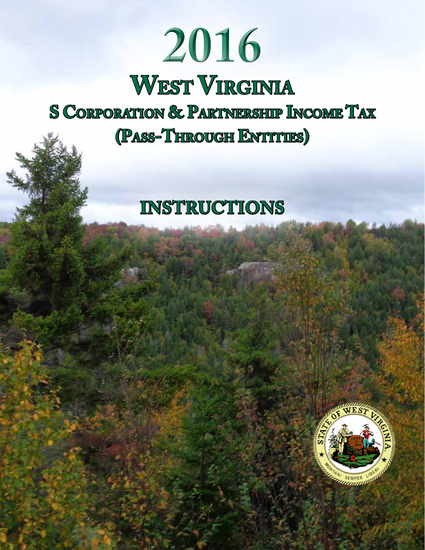# **2016 West Virginia S Corporation & Partnership Income Tax (Pass-Through Entities)**

# **Instructions**

View from US 119, Nicholas County

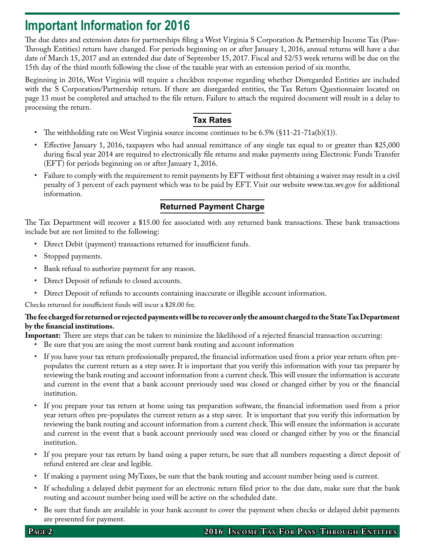# **Important Information for 2016**

The due dates and extension dates for partnerships filing a West Virginia S Corporation & Partnership Income Tax (Pass-Through Entities) return have changed. For periods beginning on or after January 1, 2016, annual returns will have a due date of March 15, 2017 and an extended due date of September 15, 2017. Fiscal and 52/53 week returns will be due on the 15th day of the third month following the close of the taxable year with an extension period of six months.

Beginning in 2016, West Virginia will require a checkbox response regarding whether Disregarded Entities are included with the S Corporation/Partnership return. If there are disregarded entities, the Tax Return Questionnaire located on page 13 must be completed and attached to the file return. Failure to attach the required document will result in a delay to processing the return.

# **Tax Rates**

- The withholding rate on West Virginia source income continues to be 6.5% (§11-21-71a(b)(1)).
- Effective January 1, 2016, taxpayers who had annual remittance of any single tax equal to or greater than \$25,000 during fiscal year 2014 are required to electronically file returns and make payments using Electronic Funds Transfer (EFT) for periods beginning on or after January 1, 2016.
- Failure to comply with the requirement to remit payments by EFT without first obtaining a waiver may result in a civil penalty of 3 percent of each payment which was to be paid by EFT. Visit our website www.tax.wv.gov for additional information.

# **Returned Payment Charge**

The Tax Department will recover a \$15.00 fee associated with any returned bank transactions. These bank transactions include but are not limited to the following:

- • Direct Debit (payment) transactions returned for insufficient funds.
- Stopped payments.
- Bank refusal to authorize payment for any reason.
- Direct Deposit of refunds to closed accounts.
- • Direct Deposit of refunds to accounts containing inaccurate or illegible account information.

Checks returned for insufficient funds will incur a \$28.00 fee.

### **The fee charged for returned or rejected payments will be to recover only the amount charged to the State Tax Department by the financial institutions.**

**Important:** There are steps that can be taken to minimize the likelihood of a rejected financial transaction occurring:

- • Be sure that you are using the most current bank routing and account information
- • If you have your tax return professionally prepared, the financial information used from a prior year return often prepopulates the current return as a step saver. It is important that you verify this information with your tax preparer by reviewing the bank routing and account information from a current check. This will ensure the information is accurate and current in the event that a bank account previously used was closed or changed either by you or the financial institution.
- If you prepare your tax return at home using tax preparation software, the financial information used from a prior year return often pre-populates the current return as a step saver. It is important that you verify this information by reviewing the bank routing and account information from a current check. This will ensure the information is accurate and current in the event that a bank account previously used was closed or changed either by you or the financial institution.
- If you prepare your tax return by hand using a paper return, be sure that all numbers requesting a direct deposit of refund entered are clear and legible.
- If making a payment using MyTaxes, be sure that the bank routing and account number being used is current.
- If scheduling a delayed debit payment for an electronic return filed prior to the due date, make sure that the bank routing and account number being used will be active on the scheduled date.
- Be sure that funds are available in your bank account to cover the payment when checks or delayed debit payments are presented for payment.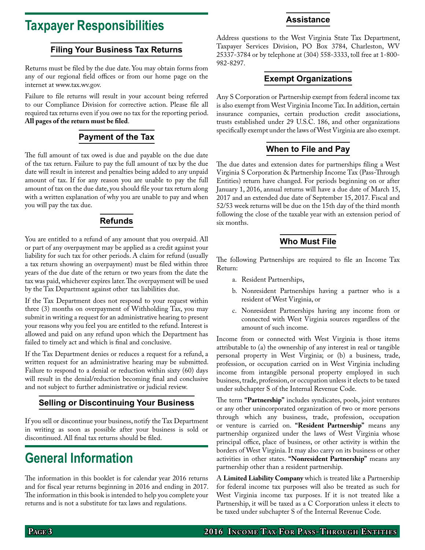# **Taxpayer Responsibilities**

### **Filing Your Business Tax Returns**

Returns must be filed by the due date. You may obtain forms from any of our regional field offices or from our home page on the internet at www.tax.wv.gov.

Failure to file returns will result in your account being referred to our Compliance Division for corrective action. Please file all required tax returns even if you owe no tax for the reporting period. **All pages of the return must be filed**.

# **Payment of the Tax**

The full amount of tax owed is due and payable on the due date of the tax return. Failure to pay the full amount of tax by the due date will result in interest and penalties being added to any unpaid amount of tax. If for any reason you are unable to pay the full amount of tax on the due date, you should file your tax return along with a written explanation of why you are unable to pay and when you will pay the tax due.

# **Refunds**

You are entitled to a refund of any amount that you overpaid. All or part of any overpayment may be applied as a credit against your liability for such tax for other periods. A claim for refund (usually a tax return showing an overpayment) must be filed within three years of the due date of the return or two years from the date the tax was paid, whichever expires later. The overpayment will be used by the Tax Department against other tax liabilities due.

If the Tax Department does not respond to your request within three (3) months on overpayment of Withholding Tax, you may submit in writing a request for an administrative hearing to present your reasons why you feel you are entitled to the refund. Interest is allowed and paid on any refund upon which the Department has failed to timely act and which is final and conclusive.

If the Tax Department denies or reduces a request for a refund, a written request for an administrative hearing may be submitted. Failure to respond to a denial or reduction within sixty (60) days will result in the denial/reduction becoming final and conclusive and not subject to further administrative or judicial review.

# **Selling or Discontinuing Your Business**

If you sell or discontinue your business, notify the Tax Department in writing as soon as possible after your business is sold or discontinued. All final tax returns should be filed.

# **General Information**

The information in this booklet is for calendar year 2016 returns and for fiscal year returns beginning in 2016 and ending in 2017. The information in this book is intended to help you complete your returns and is not a substitute for tax laws and regulations.

#### Address questions to the West Virginia State Tax Department, Taxpayer Services Division, PO Box 3784, Charleston, WV 25337-3784 or by telephone at (304) 558-3333, toll free at 1-800- 982-8297.

# **Exempt Organizations**

Any S Corporation or Partnership exempt from federal income tax is also exempt from West Virginia Income Tax. In addition, certain insurance companies, certain production credit associations, trusts established under 29 U.S.C. 186, and other organizations specifically exempt under the laws of West Virginia are also exempt.

# **When to File and Pay**

The due dates and extension dates for partnerships filing a West Virginia S Corporation & Partnership Income Tax (Pass-Through Entities) return have changed. For periods beginning on or after January 1, 2016, annual returns will have a due date of March 15, 2017 and an extended due date of September 15, 2017. Fiscal and 52/53 week returns will be due on the 15th day of the third month following the close of the taxable year with an extension period of six months.

### **Who Must File**

The following Partnerships are required to file an Income Tax Return:

- a. Resident Partnerships,
- b. Nonresident Partnerships having a partner who is a resident of West Virginia, or
- c. Nonresident Partnerships having any income from or connected with West Virginia sources regardless of the amount of such income.

Income from or connected with West Virginia is those items attributable to (a) the ownership of any interest in real or tangible personal property in West Virginia; or (b) a business, trade, profession, or occupation carried on in West Virginia including income from intangible personal property employed in such business, trade, profession, or occupation unless it elects to be taxed under subchapter S of the Internal Revenue Code.

The term **"Partnership"** includes syndicates, pools, joint ventures or any other unincorporated organization of two or more persons through which any business, trade, profession, occupation or venture is carried on. **"Resident Partnership"** means any partnership organized under the laws of West Virginia whose principal office, place of business, or other activity is within the borders of West Virginia. It may also carry on its business or other activities in other states. **"Nonresident Partnership"** means any partnership other than a resident partnership.

A **Limited Liability Company** which is treated like a Partnership for federal income tax purposes will also be treated as such for West Virginia income tax purposes. If it is not treated like a Partnership, it will be taxed as a C Corporation unless it elects to be taxed under subchapter S of the Internal Revenue Code.

# **Assistance**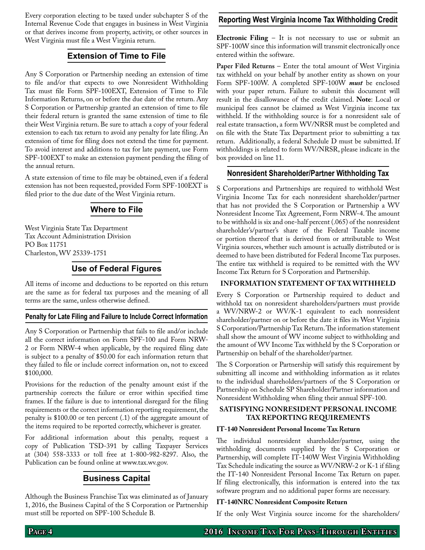Every corporation electing to be taxed under subchapter S of the Internal Revenue Code that engages in business in West Virginia or that derives income from property, activity, or other sources in West Virginia must file a West Virginia return.

### **Extension of Time to File**

Any S Corporation or Partnership needing an extension of time to file and/or that expects to owe Nonresident Withholding Tax must file Form SPF-100EXT, Extension of Time to File Information Returns, on or before the due date of the return. Any S Corporation or Partnership granted an extension of time to file their federal return is granted the same extension of time to file their West Virginia return. Be sure to attach a copy of your federal extension to each tax return to avoid any penalty for late filing. An extension of time for filing does not extend the time for payment. To avoid interest and additions to tax for late payment, use Form SPF-100EXT to make an extension payment pending the filing of the annual return.

A state extension of time to file may be obtained, even if a federal extension has not been requested, provided Form SPF-100EXT is filed prior to the due date of the West Virginia return.

# **Where to File**

West Virginia State Tax Department Tax Account Administration Division PO Box 11751 Charleston, WV 25339-1751

# **Use of Federal Figures**

All items of income and deductions to be reported on this return are the same as for federal tax purposes and the meaning of all terms are the same, unless otherwise defined.

#### **Penalty for Late Filing and Failure to Include Correct Information**

Any S Corporation or Partnership that fails to file and/or include all the correct information on Form SPF-100 and Form NRW-2 or Form NRW-4 when applicable, by the required filing date is subject to a penalty of \$50.00 for each information return that they failed to file or include correct information on, not to exceed \$100,000.

Provisions for the reduction of the penalty amount exist if the partnership corrects the failure or error within specified time frames. If the failure is due to intentional disregard for the filing requirements or the correct information reporting requirement, the penalty is \$100.00 or ten percent (.1) of the aggregate amount of the items required to be reported correctly, whichever is greater.

For additional information about this penalty, request a copy of Publication TSD-391 by calling Taxpayer Services at (304) 558-3333 or toll free at 1-800-982-8297. Also, the Publication can be found online at www.tax.wv.gov.

# **Business Capital**

Although the Business Franchise Tax was eliminated as of January 1, 2016, the Business Capital of the S Corporation or Partnership must still be reported on SPF-100 Schedule B.

### **Reporting West Virginia Income Tax Withholding Credit**

**Electronic Filing** – It is not necessary to use or submit an SPF-100W since this information will transmit electronically once entered within the software.

**Paper Filed Returns** – Enter the total amount of West Virginia tax withheld on your behalf by another entity as shown on your Form SPF-100W. A completed SPF-100W *must* be enclosed with your paper return. Failure to submit this document will result in the disallowance of the credit claimed. **Note**: Local or municipal fees cannot be claimed as West Virginia income tax withheld. If the withholding source is for a nonresident sale of real estate transaction, a form WV/NRSR must be completed and on file with the State Tax Department prior to submitting a tax return. Additionally, a federal Schedule D must be submitted. If withholdings is related to form WV/NRSR, please indicate in the box provided on line 11.

#### **Nonresident Shareholder/Partner Withholding Tax**

S Corporations and Partnerships are required to withhold West Virginia Income Tax for each nonresident shareholder/partner that has not provided the S Corporation or Partnership a WV Nonresident Income Tax Agreement, Form NRW-4. The amount to be withhold is six and one-half percent (.065) of the nonresident shareholder's/partner's share of the Federal Taxable income or portion thereof that is derived from or attributable to West Virginia sources, whether such amount is actually distributed or is deemed to have been distributed for Federal Income Tax purposes. The entire tax withheld is required to be remitted with the WV Income Tax Return for S Corporation and Partnership.

#### **Information Statement of Tax Withheld**

Every S Corporation or Partnership required to deduct and withhold tax on nonresident shareholders/partners must provide a WV/NRW-2 or WV/K-1 equivalent to each nonresident shareholder/partner on or before the date it files its West Virginia S Corporation/Partnership Tax Return. The information statement shall show the amount of WV income subject to withholding and the amount of WV Income Tax withheld by the S Corporation or Partnership on behalf of the shareholder/partner.

The S Corporation or Partnership will satisfy this requirement by submitting all income and withholding information as it relates to the individual shareholders/partners of the S Corporation or Partnership on Schedule SP Shareholder/Partner information and Nonresident Withholding when filing their annual SPF-100.

#### **Satisfying nonresident personal income tax reporting requirements**

#### **IT-140 Nonresident Personal Income Tax Return**

The individual nonresident shareholder/partner, using the withholding documents supplied by the S Corporation or Partnership, will complete IT-140W West Virginia Withholding Tax Schedule indicating the source as WV/NRW-2 or K-1 if filing the IT-140 Nonresident Personal Income Tax Return on paper. If filing electronically, this information is entered into the tax software program and no additional paper forms are necessary.

#### **IT-140NRC Nonresident Composite Return**

If the only West Virginia source income for the shareholders/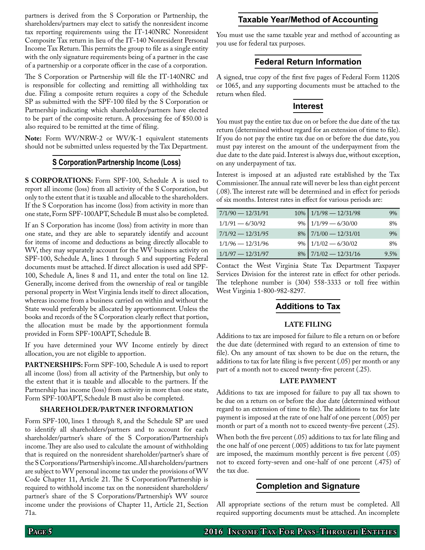partners is derived from the S Corporation or Partnership, the shareholders/partners may elect to satisfy the nonresident income tax reporting requirements using the IT-140NRC Nonresident Composite Tax return in lieu of the IT-140 Nonresident Personal Income Tax Return. This permits the group to file as a single entity with the only signature requirements being of a partner in the case of a partnership or a corporate officer in the case of a corporation.

The S Corporation or Partnership will file the IT-140NRC and is responsible for collecting and remitting all withholding tax due. Filing a composite return requires a copy of the Schedule SP as submitted with the SPF-100 filed by the S Corporation or Partnership indicating which shareholders/partners have elected to be part of the composite return. A processing fee of \$50.00 is also required to be remitted at the time of filing.

**Note:** Form WV/NRW-2 or WV/K-1 equivalent statements should not be submitted unless requested by the Tax Department.

#### **S Corporation/Partnership Income (Loss)**

**S CORPORATIONS:** Form SPF-100, Schedule A is used to report all income (loss) from all activity of the S Corporation, but only to the extent that it is taxable and allocable to the shareholders. If the S Corporation has income (loss) from activity in more than one state, Form SPF-100APT, Schedule B must also be completed.

If an S Corporation has income (loss) from activity in more than one state, and they are able to separately identify and account for items of income and deductions as being directly allocable to WV, they may separately account for the WV business activity on SPF-100, Schedule A, lines 1 through 5 and supporting Federal documents must be attached. If direct allocation is used add SPF-100, Schedule A, lines 8 and 11, and enter the total on line 12. Generally, income derived from the ownership of real or tangible personal property in West Virginia lends itself to direct allocation, whereas income from a business carried on within and without the State would preferably be allocated by apportionment. Unless the books and records of the S Corporation clearly reflect that portion, the allocation must be made by the apportionment formula provided in Form SPF-100APT, Schedule B.

If you have determined your WV Income entirely by direct allocation, you are not eligible to apportion.

**PARTNERSHIPS:** Form SPF-100, Schedule A is used to report all income (loss) from all activity of the Partnership, but only to the extent that it is taxable and allocable to the partners. If the Partnership has income (loss) from activity in more than one state, Form SPF-100APT, Schedule B must also be completed.

#### **Shareholder/Partner Information**

Form SPF-100, lines 1 through 8, and the Schedule SP are used to identify all shareholders/partners and to account for each shareholder/partner's share of the S Corporation/Partnership's income. They are also used to calculate the amount of withholding that is required on the nonresident shareholder/partner's share of the S Corporations/Partnership's income. All shareholders/partners are subject to WV personal income tax under the provisions of WV Code Chapter 11, Article 21. The S Corporation/Partnership is required to withhold income tax on the nonresident shareholders/ partner's share of the S Corporations/Partnership's WV source income under the provisions of Chapter 11, Article 21, Section 71a.

#### **Taxable Year/Method of Accounting**

You must use the same taxable year and method of accounting as you use for federal tax purposes.

#### **Federal Return Information**

A signed, true copy of the first five pages of Federal Form 1120S or 1065, and any supporting documents must be attached to the return when filed.

#### **Interest**

You must pay the entire tax due on or before the due date of the tax return (determined without regard for an extension of time to file). If you do not pay the entire tax due on or before the due date, you must pay interest on the amount of the underpayment from the due date to the date paid. Interest is always due, without exception, on any underpayment of tax.

Interest is imposed at an adjusted rate established by the Tax Commissioner. The annual rate will never be less than eight percent (.08). The interest rate will be determined and in effect for periods of six months. Interest rates in effect for various periods are:

| $7/1/90 - 12/31/91$ | $10\%$ 1/1/98 - 12/31/98 | 9%   |
|---------------------|--------------------------|------|
| $1/1/91 - 6/30/92$  | $9\%$ 1/1/99 - 6/30/00   | 8%   |
| $7/1/92 - 12/31/95$ | $8\%$ 7/1/00 - 12/31/01  | 9%   |
| $1/1/96 - 12/31/96$ | $9\%$ 1/1/02 - 6/30/02   | 8%   |
| $1/1/97 - 12/31/97$ | $8\%$ 7/1/02 - 12/31/16  | 9.5% |

Contact the West Virginia State Tax Department Taxpayer Services Division for the interest rate in effect for other periods. The telephone number is (304) 558-3333 or toll free within West Virginia 1-800-982-8297.

#### **Additions to Tax**

#### **Late Filing**

Additions to tax are imposed for failure to file a return on or before the due date (determined with regard to an extension of time to file). On any amount of tax shown to be due on the return, the additions to tax for late filing is five percent (.05) per month or any part of a month not to exceed twenty-five percent (.25).

#### **Late Payment**

Additions to tax are imposed for failure to pay all tax shown to be due on a return on or before the due date (determined without regard to an extension of time to file). The additions to tax for late payment is imposed at the rate of one half of one percent (.005) per month or part of a month not to exceed twenty-five percent (.25).

When both the five percent (.05) additions to tax for late filing and the one half of one percent (.005) additions to tax for late payment are imposed, the maximum monthly percent is five percent (.05) not to exceed forty-seven and one-half of one percent (.475) of the tax due.

### **Completion and Signature**

All appropriate sections of the return must be completed. All required supporting documents must be attached. An incomplete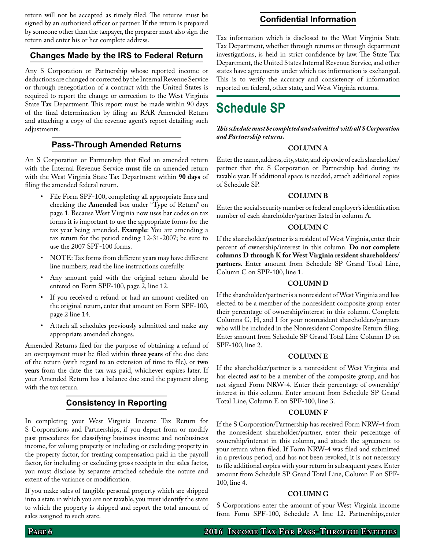return will not be accepted as timely filed. The returns must be signed by an authorized officer or partner. If the return is prepared by someone other than the taxpayer, the preparer must also sign the return and enter his or her complete address.

## **Changes Made by the IRS to Federal Return**

Any S Corporation or Partnership whose reported income or deductions are changed or corrected by the Internal Revenue Service or through renegotiation of a contract with the United States is required to report the change or correction to the West Virginia State Tax Department. This report must be made within 90 days of the final determination by filing an RAR Amended Return and attaching a copy of the revenue agent's report detailing such adjustments.

# **Pass-Through Amended Returns**

An S Corporation or Partnership that filed an amended return with the Internal Revenue Service **must** file an amended return with the West Virginia State Tax Department within **90 days** of filing the amended federal return.

- File Form SPF-100, completing all appropriate lines and checking the **Amended** box under "Type of Return" on page 1. Because West Virginia now uses bar codes on tax forms it is important to use the appropriate forms for the tax year being amended. **Example**: You are amending a tax return for the period ending 12-31-2007; be sure to use the 2007 SPF-100 forms.
- NOTE: Tax forms from different years may have different line numbers; read the line instructions carefully.
- • Any amount paid with the original return should be entered on Form SPF-100, page 2, line 12.
- • If you received a refund or had an amount credited on the original return, enter that amount on Form SPF-100, page 2 line 14.
- • Attach all schedules previously submitted and make any appropriate amended changes.

Amended Returns filed for the purpose of obtaining a refund of an overpayment must be filed within **three years** of the due date of the return (with regard to an extension of time to file), or **two years** from the date the tax was paid, whichever expires later. If your Amended Return has a balance due send the payment along with the tax return.

# **Consistency in Reporting**

In completing your West Virginia Income Tax Return for S Corporations and Partnerships, if you depart from or modify past procedures for classifying business income and nonbusiness income, for valuing property or including or excluding property in the property factor, for treating compensation paid in the payroll factor, for including or excluding gross receipts in the sales factor, you must disclose by separate attached schedule the nature and extent of the variance or modification.

If you make sales of tangible personal property which are shipped into a state in which you are not taxable, you must identify the state to which the property is shipped and report the total amount of sales assigned to such state.

### **Confidential Information**

Tax information which is disclosed to the West Virginia State Tax Department, whether through returns or through department investigations, is held in strict confidence by law. The State Tax Department, the United States Internal Revenue Service, and other states have agreements under which tax information is exchanged. This is to verify the accuracy and consistency of information reported on federal, other state, and West Virginia returns.

# **Schedule SP**

*This schedule must be completed and submitted with all S Corporation and Partnership returns.*

#### **Column A**

Enter the name, address, city, state, and zip code of each shareholder/ partner that the S Corporation or Partnership had during its taxable year. If additional space is needed, attach additional copies of Schedule SP.

#### **Column B**

Enter the social security number or federal employer's identification number of each shareholder/partner listed in column A.

#### **Column C**

If the shareholder/partner is a resident of West Virginia, enter their percent of ownership/interest in this column. **Do not complete columns D through K for West Virginia resident shareholders/ partners.** Enter amount from Schedule SP Grand Total Line, Column C on SPF-100, line 1.

#### **Column D**

If the shareholder/partner is a nonresident of West Virginia and has elected to be a member of the nonresident composite group enter their percentage of ownership/interest in this column. Complete Columns G, H, and I for your nonresident shareholders/partners who will be included in the Nonresident Composite Return filing. Enter amount from Schedule SP Grand Total Line Column D on SPF-100, line 2.

#### **Column E**

If the shareholder/partner is a nonresident of West Virginia and has elected *not* to be a member of the composite group, and has not signed Form NRW-4. Enter their percentage of ownership/ interest in this column. Enter amount from Schedule SP Grand Total Line, Column E on SPF-100, line 3.

#### **Column F**

If the S Corporation/Partnership has received Form NRW-4 from the nonresident shareholder/partner, enter their percentage of ownership/interest in this column, and attach the agreement to your return when filed. If Form NRW-4 was filed and submitted in a previous period, and has not been revoked, it is not necessary to file additional copies with your return in subsequent years. Enter amount from Schedule SP Grand Total Line, Column F on SPF-100, line 4.

#### **Column G**

S Corporations enter the amount of your West Virginia income from Form SPF-100, Schedule A line 12. Partnerships,enter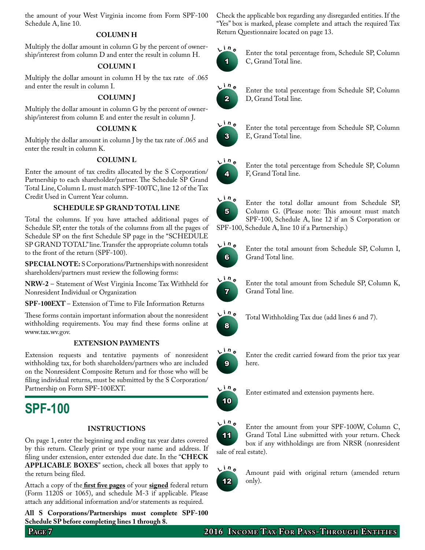the amount of your West Virginia income from Form SPF-100 Schedule A, line 10.

#### **Column H**

Multiply the dollar amount in column G by the percent of ownership/interest from column D and enter the result in column H.

#### **Column I**

Multiply the dollar amount in column H by the tax rate of .065 and enter the result in column I.

#### **Column J**

Multiply the dollar amount in column G by the percent of ownership/interest from column E and enter the result in column J.

#### **Column k**

Multiply the dollar amount in column J by the tax rate of .065 and enter the result in column K.

#### **Column l**

Enter the amount of tax credits allocated by the S Corporation/ Partnership to each shareholder/partner. The Schedule SP Grand Total Line, Column L must match SPF-100TC, line 12 of the Tax Credit Used in Current Year column.

#### **Schedule SP grand total line**

Total the columns. If you have attached additional pages of Schedule SP, enter the totals of the columns from all the pages of Schedule SP on the first Schedule SP page in the "SCHEDULE SP GRAND TOTAL" line. Transfer the appropriate column totals to the front of the return (SPF-100).

**SPECIAL NOTE:** S Corporations/Partnerships with nonresident shareholders/partners must review the following forms:

**NRW-2** – Statement of West Virginia Income Tax Withheld for Nonresident Individual or Organization

**SPF-100EXT** – Extension of Time to File Information Returns

These forms contain important information about the nonresident withholding requirements. You may find these forms online at www.tax.wv.gov.

#### **Extension Payments**

Extension requests and tentative payments of nonresident withholding tax, for both shareholders/partners who are included on the Nonresident Composite Return and for those who will be filing individual returns, must be submitted by the S Corporation/ Partnership on Form SPF-100EXT.

# **SPF-100**

#### **Instructions**

On page 1, enter the beginning and ending tax year dates covered by this return. Clearly print or type your name and address. If filing under extension, enter extended due date. In the "CHECK **applicable boxes**" section, check all boxes that apply to the return being filed.

Attach a copy of the **first five pages** of your **signed** federal return (Form 1120S or 1065), and schedule M-3 if applicable. Please attach any additional information and/or statements as required.

**All S Corporations/Partnerships must complete SPF-100 Schedule SP before completing lines 1 through 8.**

Check the applicable box regarding any disregarded entities. If the "Yes" box is marked, please complete and attach the required Tax Return Questionnaire located on page 13.



Enter the total percentage from, Schedule SP, Column C, Grand Total line.



Enter the total percentage from Schedule SP, Column D, Grand Total line.



Enter the total percentage from Schedule SP, Column E, Grand Total line.



Enter the total percentage from Schedule SP, Column F, Grand Total line.



Enter the total dollar amount from Schedule SP, Column G. (Please note: This amount must match SPF-100, Schedule A, line 12 if an S Corporation or SPF-100, Schedule A, line 10 if a Partnership.)



Enter the total amount from Schedule SP, Column I, Grand Total line.



Enter the total amount from Schedule SP, Column K, Grand Total line.



Total Withholding Tax due (add lines 6 and 7).



Enter the credit carried foward from the prior tax year here.



Enter estimated and extension payments here.



Enter the amount from your SPF-100W, Column C, Grand Total Line submitted with your return. Check box if any withholdings are from NRSR (nonresident sale of real estate).



Amount paid with original return (amended return only).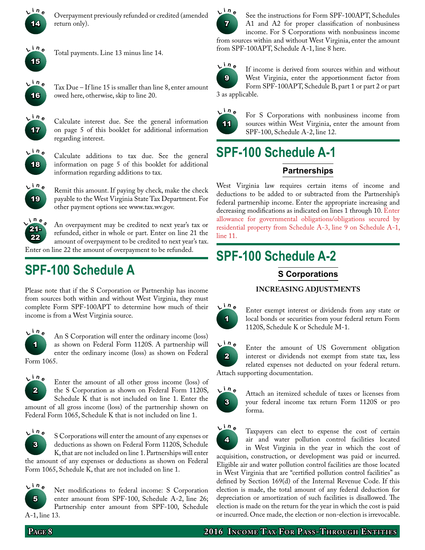

 **<sup>i</sup> <sup>n</sup> <sup>e</sup>** Overpayment previously refunded or credited (amended return only).



Total payments. Line 13 minus line 14.



Tax Due – If line 15 is smaller than line 8, enter amount owed here, otherwise, skip to line 20.



 **<sup>i</sup> <sup>n</sup> <sup>e</sup>** Calculate interest due. See the general information on page 5 of this booklet for additional information regarding interest.



Calculate additions to tax due. See the general information on page 5 of this booklet for additional information regarding additions to tax.



Remit this amount. If paying by check, make the check payable to the West Virginia State Tax Department. For other payment options see www.tax.wv.gov.



An overpayment may be credited to next year's tax or refunded, either in whole or part. Enter on line 21 the amount of overpayment to be credited to next year's tax. Enter on line 22 the amount of overpayment to be refunded.

# **SPF-100 Schedule A**

Please note that if the S Corporation or Partnership has income from sources both within and without West Virginia, they must complete Form SPF-100APT to determine how much of their income is from a West Virginia source.



 **<sup>i</sup> <sup>n</sup> <sup>e</sup>** An S Corporation will enter the ordinary income (loss) as shown on Federal Form 1120S. A partnership will enter the ordinary income (loss) as shown on Federal Form 1065.



Enter the amount of all other gross income (loss) of the S Corporation as shown on Federal Form 1120S, Schedule K that is not included on line 1. Enter the amount of all gross income (loss) of the partnership shown on

Federal Form 1065, Schedule K that is not included on line 1.



 **<sup>i</sup> <sup>n</sup> <sup>e</sup>** S Corporations will enter the amount of any expenses or deductions as shown on Federal Form 1120S, Schedule K, that are not included on line 1. Partnerships will enter

the amount of any expenses or deductions as shown on Federal Form 1065, Schedule K, that are not included on line 1.



Net modifications to federal income: S Corporation enter amount from SPF-100, Schedule A-2, line 26; Partnership enter amount from SPF-100, Schedule A-1, line 13.



See the instructions for Form SPF-100APT, Schedules A1 and A2 for proper classification of nonbusiness income. For S Corporations with nonbusiness income from sources within and without West Virginia, enter the amount from SPF-100APT, Schedule A-1, line 8 here.



If income is derived from sources within and without West Virginia, enter the apportionment factor from Form SPF-100APT, Schedule B, part 1 or part 2 or part 3 as applicable.



For S Corporations with nonbusiness income from sources within West Virginia, enter the amount from SPF-100, Schedule A-2, line 12.

# **SPF-100 Schedule A-1 Partnerships**

West Virginia law requires certain items of income and deductions to be added to or subtracted from the Partnership's federal partnership income. Enter the appropriate increasing and decreasing modifications as indicated on lines 1 through 10. Enter allowance for governmental obligations/obligations secured by residential property from Schedule A-3, line 9 on Schedule A-1, line 11.

# **SPF-100 Schedule A-2**

# **S Corporations**

# **Increasing Adjustments**



Enter exempt interest or dividends from any state or local bonds or securities from your federal return Form 1120S, Schedule K or Schedule M-1.

2  $L^{\text{in}}$ Enter the amount of US Government obligation interest or dividends not exempt from state tax, less related expenses not deducted on your federal return. Attach supporting documentation.



 **<sup>i</sup> <sup>n</sup> <sup>e</sup>** Attach an itemized schedule of taxes or licenses from your federal income tax return Form 1120S or pro forma.



Taxpayers can elect to expense the cost of certain air and water pollution control facilities located in West Virginia in the year in which the cost of

acquisition, construction, or development was paid or incurred. Eligible air and water pollution control facilities are those located in West Virginia that are "certified pollution control facilities" as defined by Section 169(d) of the Internal Revenue Code. If this election is made, the total amount of any federal deduction for depreciation or amortization of such facilities is disallowed. The election is made on the return for the year in which the cost is paid or incurred. Once made, the election or non-election is irrevocable.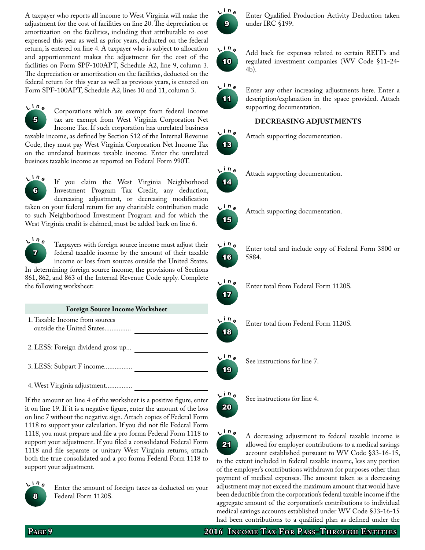A taxpayer who reports all income to West Virginia will make the adjustment for the cost of facilities on line 20. The depreciation or amortization on the facilities, including that attributable to cost expensed this year as well as prior years, deducted on the federal return, is entered on line 4. A taxpayer who is subject to allocation and apportionment makes the adjustment for the cost of the facilities on Form SPF-100APT, Schedule A2, line 9, column 3. The depreciation or amortization on the facilities, deducted on the federal return for this year as well as previous years, is entered on Form SPF-100APT, Schedule A2, lines 10 and 11, column 3.



 **<sup>i</sup> <sup>n</sup> <sup>e</sup>** Corporations which are exempt from federal income tax are exempt from West Virginia Corporation Net Income Tax. If such corporation has unrelated business

taxable income, as defined by Section 512 of the Internal Revenue Code, they must pay West Virginia Corporation Net Income Tax on the unrelated business taxable income. Enter the unrelated business taxable income as reported on Federal Form 990T.

6  $L^{\text{in}}$ e If you claim the West Virginia Neighborhood Investment Program Tax Credit, any deduction, decreasing adjustment, or decreasing modification taken on your federal return for any charitable contribution made to such Neighborhood Investment Program and for which the West Virginia credit is claimed, must be added back on line 6.



 **<sup>i</sup> <sup>n</sup> <sup>e</sup>** Taxpayers with foreign source income must adjust their federal taxable income by the amount of their taxable income or loss from sources outside the United States. In determining foreign source income, the provisions of Sections

861, 862, and 863 of the Internal Revenue Code apply. Complete the following worksheet:

| <b>Foreign Source Income Worksheet</b>                      |  |  |  |  |
|-------------------------------------------------------------|--|--|--|--|
| 1. Taxable Income from sources<br>outside the United States |  |  |  |  |
| 2. LESS: Foreign dividend gross up                          |  |  |  |  |
| 3. LESS: Subpart F income                                   |  |  |  |  |

4. West Virginia adjustment...............

If the amount on line 4 of the worksheet is a positive figure, enter it on line 19. If it is a negative figure, enter the amount of the loss on line 7 without the negative sign. Attach copies of Federal Form 1118 to support your calculation. If you did not file Federal Form 1118, you must prepare and file a pro forma Federal Form 1118 to support your adjustment. If you filed a consolidated Federal Form 1118 and file separate or unitary West Virginia returns, attach both the true consolidated and a pro forma Federal Form 1118 to support your adjustment.



Enter the amount of foreign taxes as deducted on your Federal Form 1120S.



**Enter Qualified Production Activity Deduction taken** under IRC §199.



 **<sup>i</sup> <sup>n</sup> <sup>e</sup>** Add back for expenses related to certain REIT's and regulated investment companies (WV Code §11-24- 4b).



Enter any other increasing adjustments here. Enter a description/explanation in the space provided. Attach supporting documentation.

## **Decreasing Adjustments**

**<sup>i</sup> <sup>n</sup> <sup>e</sup>** Attach supporting documentation.



13 **L**

**<sup>i</sup> <sup>n</sup> <sup>e</sup>** Attach supporting documentation.



**<sup>i</sup> <sup>n</sup> <sup>e</sup>** Attach supporting documentation.



Enter total and include copy of Federal Form 3800 or 5884.



19 **L**

20

Enter total from Federal Form 1120S.



Enter total from Federal Form 1120S.

**<sup>i</sup> <sup>n</sup> <sup>e</sup>** See instructions for line 7.





 **<sup>i</sup> <sup>n</sup> <sup>e</sup>** A decreasing adjustment to federal taxable income is allowed for employer contributions to a medical savings account established pursuant to WV Code §33-16-15, to the extent included in federal taxable income, less any portion

of the employer's contributions withdrawn for purposes other than payment of medical expenses. The amount taken as a decreasing adjustment may not exceed the maximum amount that would have been deductible from the corporation's federal taxable income if the aggregate amount of the corporation's contributions to individual medical savings accounts established under WV Code §33-16-15 had been contributions to a qualified plan as defined under the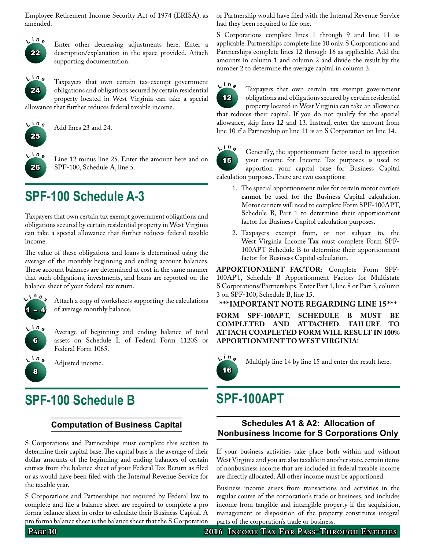Employee Retirement Income Security Act of 1974 (ERISA), as amended.



Enter other decreasing adjustments here. Enter a description/explanation in the space provided. Attach supporting documentation.



Taxpayers that own certain tax-exempt government obligations and obligations secured by certain residential property located in West Virginia can take a special allowance that further reduces federal taxable income.



**<sup>i</sup> <sup>n</sup> <sup>e</sup>** Add lines 23 and 24.



Line 12 minus line 25. Enter the amount here and on SPF-100, Schedule A, line 5.

# **SPF-100 Schedule A-3**

Taxpayers that own certain tax exempt government obligations and obligations secured by certain residential property in West Virginia can take a special allowance that further reduces federal taxable income.

The value of these obligations and loans is determined using the average of the monthly beginning and ending account balances. These account balances are determined at cost in the same manner that such obligations, investments, and loans are reported on the balance sheet of your federal tax return.



Attach a copy of worksheets supporting the calculations of average monthly balance.



Average of beginning and ending balance of total assets on Schedule L of Federal Form 1120S or Federal Form 1065.



**<sup>i</sup> <sup>n</sup> <sup>e</sup>** Adjusted income.

# **SPF-100 Schedule B**

# **Computation of Business Capital**

S Corporations and Partnerships must complete this section to determine their capital base. The capital base is the average of their dollar amounts of the beginning and ending balances of certain entries from the balance sheet of your Federal Tax Return as filed or as would have been filed with the Internal Revenue Service for the taxable year.

S Corporations and Partnerships not required by Federal law to complete and file a balance sheet are required to complete a pro forma balance sheet in order to calculate their Business Capital. A pro forma balance sheet is the balance sheet that the S Corporation or Partnership would have filed with the Internal Revenue Service had they been required to file one.

S Corporations complete lines 1 through 9 and line 11 as applicable. Partnerships complete line 10 only. S Corporations and Partnerships complete lines 12 through 16 as applicable. Add the amounts in column 1 and column 2 and divide the result by the number 2 to determine the average capital in column 3.

line 10 if a Partnership or line 11 is an S Corporation on line 14.



Taxpayers that own certain tax exempt government obligations and obligations secured by certain residential property located in West Virginia can take an allowance that reduces their capital. If you do not qualify for the special allowance, skip lines 12 and 13. Instead, enter the amount from



Generally, the apportionment factor used to apportion your income for Income Tax purposes is used to apportion your capital base for Business Capital calculation purposes. There are two exceptions:

- 1. The special apportionment rules for certain motor carriers **cannot** be used for the Business Capital calculation. Motor carriers will need to complete Form SPF-100APT, Schedule B, Part 1 to determine their apportionment factor for Business Capitol calculation purposes.
- 2. Taxpayers exempt from, or not subject to, the West Virginia Income Tax must complete Form SPF-100APT Schedule B to determine their apportionment factor for Business Capital calculation.

**Apportionment factor:** Complete Form SPF-100APT, Schedule B Apportionment Factors for Multistate S Corporations/Partnerships. Enter Part 1, line 8 or Part 3, column 3 on SPF-100, Schedule B, line 15.

#### **\*\*\*Important note regarding line 15\*\*\***

**Form SPF-100APT, schedule b must be completed and attached. failure to attach completed form will result in 100% apportionment to West Virginia!**



**<sup>i</sup> <sup>n</sup> <sup>e</sup>** Multiply line 14 by line 15 and enter the result here.

# **SPF-100APT**

## **Schedules A1 & A2: Allocation of Nonbusiness Income for S Corporations Only**

If your business activities take place both within and without West Virginia and you are also taxable in another state, certain items of nonbusiness income that are included in federal taxable income are directly allocated. All other income must be apportioned.

Business income arises from transactions and activities in the regular course of the corporation's trade or business, and includes income from tangible and intangible property if the acquisition, management or disposition of the property constitutes integral parts of the corporation's trade or business.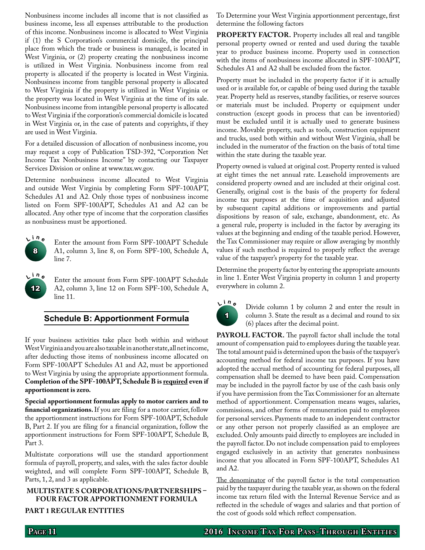Nonbusiness income includes all income that is not classified as business income, less all expenses attributable to the production of this income. Nonbusiness income is allocated to West Virginia if (1) the S Corporation's commercial domicile, the principal place from which the trade or business is managed, is located in West Virginia, or (2) property creating the nonbusiness income is utilized in West Virginia. Nonbusiness income from real property is allocated if the property is located in West Virginia. Nonbusiness income from tangible personal property is allocated to West Virginia if the property is utilized in West Virginia or the property was located in West Virginia at the time of its sale. Nonbusiness income from intangible personal property is allocated to West Virginia if the corporation's commercial domicile is located in West Virginia or, in the case of patents and copyrights, if they are used in West Virginia.

For a detailed discussion of allocation of nonbusiness income, you may request a copy of Publication TSD-392, "Corporation Net Income Tax Nonbusiness Income" by contacting our Taxpayer Services Division or online at www.tax.wv.gov.

Determine nonbusiness income allocated to West Virginia and outside West Virginia by completing Form SPF-100APT, Schedules A1 and A2. Only those types of nonbusiness income listed on Form SPF-100APT, Schedules A1 and A2 can be allocated. Any other type of income that the corporation classifies as nonbusiness must be apportioned.



Enter the amount from Form SPF-100APT Schedule A1, column 3, line 8, on Form SPF-100, Schedule A, line 7.

12 **L**

Enter the amount from Form SPF-100APT Schedule A2, column 3, line 12 on Form SPF-100, Schedule A, line 11.

### **Schedule B: Apportionment Formula**

If your business activities take place both within and without West Virginia and you are also taxable in another state, all net income, after deducting those items of nonbusiness income allocated on Form SPF-100APT Schedules A1 and A2, must be apportioned to West Virginia by using the appropriate apportionment formula. **Completion of the SPF-100APT, Schedule B is required even if apportionment is zero.**

**Special apportionment formulas apply to motor carriers and to financial organizations.** If you are filing for a motor carrier, follow the apportionment instructions for Form SPF-100APT, Schedule B, Part 2. If you are filing for a financial organization, follow the apportionment instructions for Form SPF-100APT, Schedule B, Part 3.

Multistate corporations will use the standard apportionment formula of payroll, property, and sales, with the sales factor double weighted, and will complete Form SPF-100APT, Schedule B, Parts, 1, 2, and 3 as applicable.

## **Multistate S corporations/partnerships – four factor apportionment formula**

#### **Part 1 regular entities**

To Determine your West Virginia apportionment percentage, first determine the following factors

**PROPERTY FACTOR.** Property includes all real and tangible personal property owned or rented and used during the taxable year to produce business income. Property used in connection with the items of nonbusiness income allocated in SPF-100APT, Schedules A1 and A2 shall be excluded from the factor.

Property must be included in the property factor if it is actually used or is available for, or capable of being used during the taxable year. Property held as reserves, standby facilities, or reserve sources or materials must be included. Property or equipment under construction (except goods in process that can be inventoried) must be excluded until it is actually used to generate business income. Movable property, such as tools, construction equipment and trucks, used both within and without West Virginia, shall be included in the numerator of the fraction on the basis of total time within the state during the taxable year.

Property owned is valued at original cost. Property rented is valued at eight times the net annual rate. Leasehold improvements are considered property owned and are included at their original cost. Generally, original cost is the basis of the property for federal income tax purposes at the time of acquisition and adjusted by subsequent capital additions or improvements and partial dispositions by reason of sale, exchange, abandonment, etc. As a general rule, property is included in the factor by averaging its values at the beginning and ending of the taxable period. However, the Tax Commissioner may require or allow averaging by monthly values if such method is required to properly reflect the average value of the taxpayer's property for the taxable year.

Determine the property factor by entering the appropriate amounts in line 1. Enter West Virginia property in column 1 and property everywhere in column 2.



Divide column 1 by column 2 and enter the result in column 3. State the result as a decimal and round to six (6) places after the decimal point.

PAYROLL FACTOR. The payroll factor shall include the total amount of compensation paid to employees during the taxable year. The total amount paid is determined upon the basis of the taxpayer's accounting method for federal income tax purposes. If you have adopted the accrual method of accounting for federal purposes, all compensation shall be deemed to have been paid. Compensation may be included in the payroll factor by use of the cash basis only if you have permission from the Tax Commissioner for an alternate method of apportionment. Compensation means wages, salaries, commissions, and other forms of remuneration paid to employees for personal services. Payments made to an independent contractor or any other person not properly classified as an employee are excluded. Only amounts paid directly to employees are included in the payroll factor. Do not include compensation paid to employees engaged exclusively in an activity that generates nonbusiness income that you allocated in Form SPF-100APT, Schedules A1 and A2.

The denominator of the payroll factor is the total compensation paid by the taxpayer during the taxable year, as shown on the federal income tax return filed with the Internal Revenue Service and as reflected in the schedule of wages and salaries and that portion of the cost of goods sold which reflect compensation.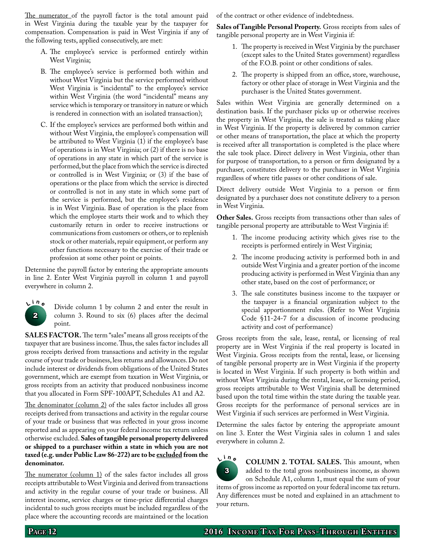The numerator of the payroll factor is the total amount paid in West Virginia during the taxable year by the taxpayer for compensation. Compensation is paid in West Virginia if any of the following tests, applied consecutively, are met:

- A. The employee's service is performed entirely within West Virginia;
- B. The employee's service is performed both within and without West Virginia but the service performed without West Virginia is "incidental" to the employee's service within West Virginia (the word "incidental" means any service which is temporary or transitory in nature or which is rendered in connection with an isolated transaction);
- C. If the employee's services are performed both within and without West Virginia, the employee's compensation will be attributed to West Virginia (1) if the employee's base of operations is in West Virginia; or (2) if there is no base of operations in any state in which part of the service is performed, but the place from which the service is directed or controlled is in West Virginia; or (3) if the base of operations or the place from which the service is directed or controlled is not in any state in which some part of the service is performed, but the employee's residence is in West Virginia. Base of operation is the place from which the employee starts their work and to which they customarily return in order to receive instructions or communications from customers or others, or to replenish stock or other materials, repair equipment, or perform any other functions necessary to the exercise of their trade or profession at some other point or points.

Determine the payroll factor by entering the appropriate amounts in line 2. Enter West Virginia payroll in column 1 and payroll everywhere in column 2.



Divide column 1 by column 2 and enter the result in column 3. Round to six (6) places after the decimal point.

**SALES FACTOR.** The term "sales" means all gross receipts of the taxpayer that are business income. Thus, the sales factor includes all gross receipts derived from transactions and activity in the regular course of your trade or business, less returns and allowances. Do not include interest or dividends from obligations of the United States government, which are exempt from taxation in West Virginia, or gross receipts from an activity that produced nonbusiness income that you allocated in Form SPF-100APT, Schedules A1 and A2.

The denominator (column 2) of the sales factor includes all gross receipts derived from transactions and activity in the regular course of your trade or business that was reflected in your gross income reported and as appearing on your federal income tax return unless otherwise excluded. **Sales of tangible personal property delivered or shipped to a purchaser within a state in which you are not taxed (e.g. under Public Law 86-272) are to be excluded from the denominator.**

The numerator (column 1) of the sales factor includes all gross receipts attributable to West Virginia and derived from transactions and activity in the regular course of your trade or business. All interest income, service charges or time-price differential charges incidental to such gross receipts must be included regardless of the place where the accounting records are maintained or the location of the contract or other evidence of indebtedness.

**Sales of Tangible Personal Property.** Gross receipts from sales of tangible personal property are in West Virginia if:

- 1. The property is received in West Virginia by the purchaser (except sales to the United States government) regardless of the F.O.B. point or other conditions of sales.
- 2. The property is shipped from an office, store, warehouse, factory or other place of storage in West Virginia and the purchaser is the United States government.

Sales within West Virginia are generally determined on a destination basis. If the purchaser picks up or otherwise receives the property in West Virginia, the sale is treated as taking place in West Virginia. If the property is delivered by common carrier or other means of transportation, the place at which the property is received after all transportation is completed is the place where the sale took place. Direct delivery in West Virginia, other than for purpose of transportation, to a person or firm designated by a purchaser, constitutes delivery to the purchaser in West Virginia regardless of where title passes or other conditions of sale.

Direct delivery outside West Virginia to a person or firm designated by a purchaser does not constitute delivery to a person in West Virginia.

**Other Sales.** Gross receipts from transactions other than sales of tangible personal property are attributable to West Virginia if:

- 1. The income producing activity which gives rise to the receipts is performed entirely in West Virginia;
- 2. The income producing activity is performed both in and outside West Virginia and a greater portion of the income producing activity is performed in West Virginia than any other state, based on the cost of performance; or
- 3. The sale constitutes business income to the taxpayer or the taxpayer is a financial organization subject to the special apportionment rules. (Refer to West Virginia Code §11-24-7 for a discussion of income producing activity and cost of performance)

Gross receipts from the sale, lease, rental, or licensing of real property are in West Virginia if the real property is located in West Virginia. Gross receipts from the rental, lease, or licensing of tangible personal property are in West Virginia if the property is located in West Virginia. If such property is both within and without West Virginia during the rental, lease, or licensing period, gross receipts attributable to West Virginia shall be determined based upon the total time within the state during the taxable year. Gross receipts for the performance of personal services are in West Virginia if such services are performed in West Virginia.

Determine the sales factor by entering the appropriate amount on line 3. Enter the West Virginia sales in column 1 and sales everywhere in column 2.

3  $L^{\text{in}}$  **<sup>i</sup> <sup>n</sup> <sup>e</sup> Column 2. Total sales.** This amount, when added to the total gross nonbusiness income, as shown on Schedule A1, column 1, must equal the sum of your items of gross income as reported on your federal income tax return. Any differences must be noted and explained in an attachment to your return.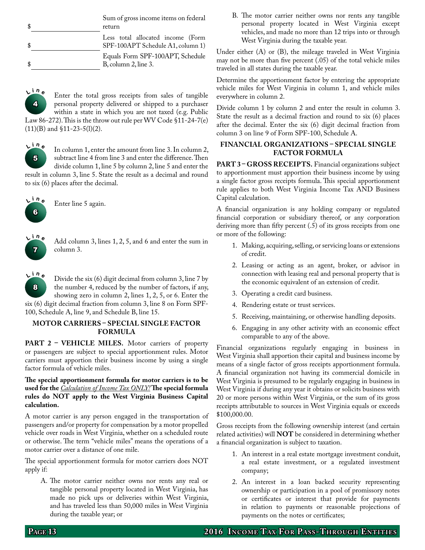| Sum of gross income items on federal<br>return                         |
|------------------------------------------------------------------------|
| Less total allocated income (Form<br>SPF-100APT Schedule A1, column 1) |
| Equals Form SPF-100APT, Schedule<br>$B,$ column 2, line 3.             |





In column 1, enter the amount from line 3. In column 2, subtract line 4 from line 3 and enter the difference. Then divide column 1, line 5 by column 2, line 5 and enter the

result in column 3, line 5. State the result as a decimal and round to six (6) places after the decimal.



Enter line 5 again.



 **<sup>i</sup> <sup>n</sup> <sup>e</sup>** Add column 3, lines 1, 2, 5, and 6 and enter the sum in column 3.

8  $L^{\text{in}}$ Divide the six (6) digit decimal from column 3, line 7 by the number 4, reduced by the number of factors, if any, showing zero in column 2, lines 1, 2, 5, or 6. Enter the six (6) digit decimal fraction from column 3, line 8 on Form SPF-100, Schedule A, line 9, and Schedule B, line 15.

#### **Motor Carriers – Special Single Factor Formula**

PART 2 - VEHICLE MILES. Motor carriers of property or passengers are subject to special apportionment rules. Motor carriers must apportion their business income by using a single factor formula of vehicle miles.

**The special apportionment formula for motor carriers is to be used for the** *Calculation of Income Tax ONLY!* **The special formula rules do NOT apply to the West Virginia Business Capital calculation.**

A motor carrier is any person engaged in the transportation of passengers and/or property for compensation by a motor propelled vehicle over roads in West Virginia, whether on a scheduled route or otherwise. The term "vehicle miles" means the operations of a motor carrier over a distance of one mile.

The special apportionment formula for motor carriers does NOT apply if:

A. The motor carrier neither owns nor rents any real or tangible personal property located in West Virginia, has made no pick ups or deliveries within West Virginia, and has traveled less than 50,000 miles in West Virginia during the taxable year; or

B. The motor carrier neither owns nor rents any tangible personal property located in West Virginia except vehicles, and made no more than 12 trips into or through West Virginia during the taxable year.

Under either (A) or (B), the mileage traveled in West Virginia may not be more than five percent (.05) of the total vehicle miles traveled in all states during the taxable year.

Determine the apportionment factor by entering the appropriate vehicle miles for West Virginia in column 1, and vehicle miles everywhere in column 2.

Divide column 1 by column 2 and enter the result in column 3. State the result as a decimal fraction and round to six (6) places after the decimal. Enter the six (6) digit decimal fraction from column 3 on line 9 of Form SPF-100, Schedule A.

### **Financial Organizations – Special Single Factor Formula**

PART 3 - GROSS RECEIPTS. Financial organizations subject to apportionment must apportion their business income by using a single factor gross receipts formula. This special apportionment rule applies to both West Virginia Income Tax AND Business Capital calculation.

A financial organization is any holding company or regulated financial corporation or subsidiary thereof, or any corporation deriving more than fifty percent (.5) of its gross receipts from one or more of the following:

- 1. Making, acquiring, selling, or servicing loans or extensions of credit.
- 2. Leasing or acting as an agent, broker, or advisor in connection with leasing real and personal property that is the economic equivalent of an extension of credit.
- 3. Operating a credit card business.
- 4. Rendering estate or trust services.
- 5. Receiving, maintaining, or otherwise handling deposits.
- 6. Engaging in any other activity with an economic effect comparable to any of the above.

Financial organizations regularly engaging in business in West Virginia shall apportion their capital and business income by means of a single factor of gross receipts apportionment formula. A financial organization not having its commercial domicile in West Virginia is presumed to be regularly engaging in business in West Virginia if during any year it obtains or solicits business with 20 or more persons within West Virginia, or the sum of its gross receipts attributable to sources in West Virginia equals or exceeds \$100,000.00.

Gross receipts from the following ownership interest (and certain related activities) will **NOT** be considered in determining whether a financial organization is subject to taxation.

- 1. An interest in a real estate mortgage investment conduit, a real estate investment, or a regulated investment company;
- 2. An interest in a loan backed security representing ownership or participation in a pool of promissory notes or certificates or interest that provide for payments in relation to payments or reasonable projections of payments on the notes or certificates;